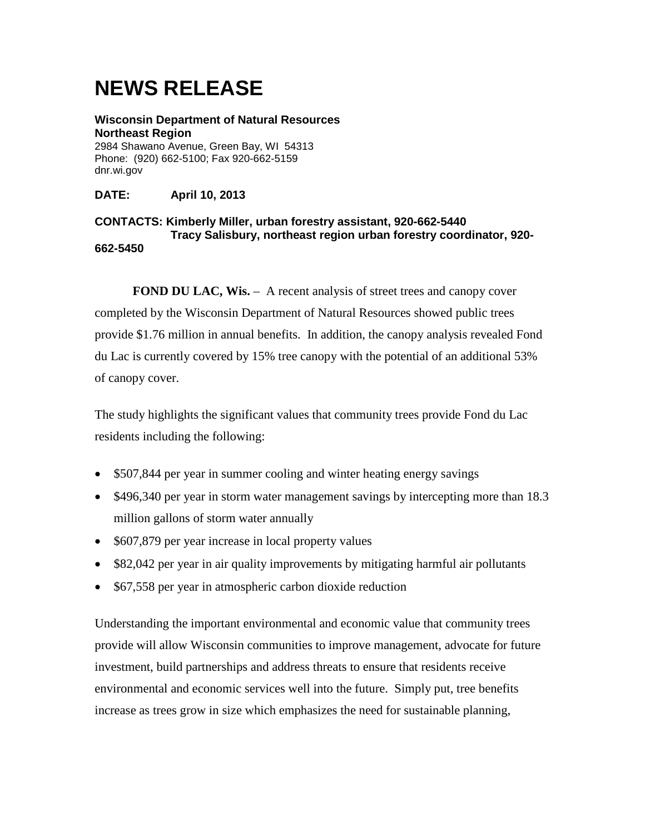**Wisconsin Department of Natural Resources Northeast Region** 2984 Shawano Avenue, Green Bay, WI 54313 Phone: (920) 662-5100; Fax 920-662-5159 dnr.wi.gov

**DATE: April 10, 2013**

#### **CONTACTS: Kimberly Miller, urban forestry assistant, 920-662-5440 Tracy Salisbury, northeast region urban forestry coordinator, 920- 662-5450**

**FOND DU LAC, Wis.** – A recent analysis of street trees and canopy cover completed by the Wisconsin Department of Natural Resources showed public trees provide \$1.76 million in annual benefits. In addition, the canopy analysis revealed Fond du Lac is currently covered by 15% tree canopy with the potential of an additional 53% of canopy cover.

The study highlights the significant values that community trees provide Fond du Lac residents including the following:

- \$507,844 per year in summer cooling and winter heating energy savings
- \$496,340 per year in storm water management savings by intercepting more than 18.3 million gallons of storm water annually
- \$607,879 per year increase in local property values
- \$82,042 per year in air quality improvements by mitigating harmful air pollutants
- \$67,558 per year in atmospheric carbon dioxide reduction

Understanding the important environmental and economic value that community trees provide will allow Wisconsin communities to improve management, advocate for future investment, build partnerships and address threats to ensure that residents receive environmental and economic services well into the future. Simply put, tree benefits increase as trees grow in size which emphasizes the need for sustainable planning,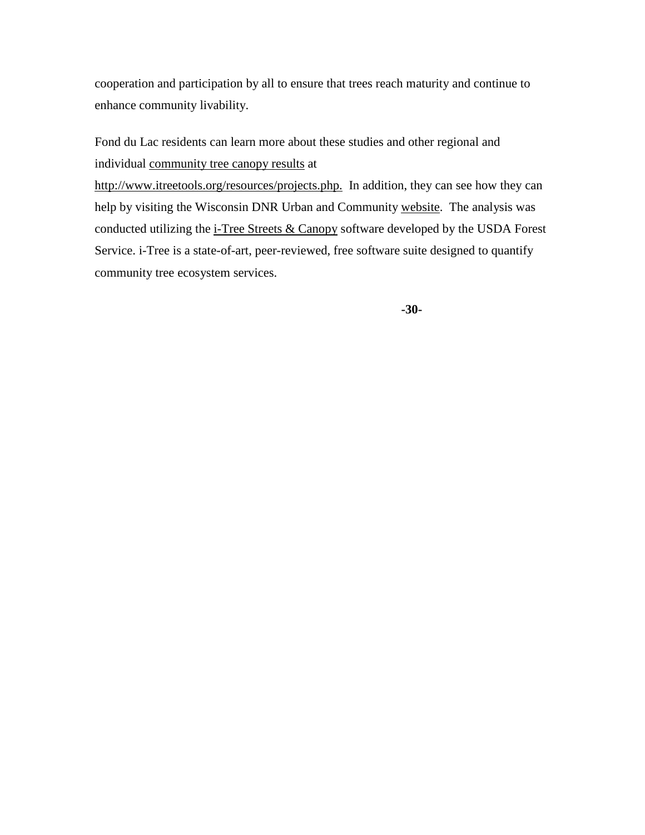Fond du Lac residents can learn more about these studies and other regional and individual [community tree canopy results](http://www.itreetools.org/resources/reports/WDNR_GreenBay_Metro.pdf) at

[http://www.itreetools.org/resources/projects.php.](http://www.itreetools.org/resources/projects.php) In addition, they can see how they can help by visiting the Wisconsin DNR Urban and Community [website.](http://dnr.wi.gov/topic/UrbanForests/) The analysis was conducted utilizing the [i-Tree Streets & Canopy](http://www.itreetools.org/) software developed by the USDA Forest Service. i-Tree is a state-of-art, peer-reviewed, free software suite designed to quantify community tree ecosystem services.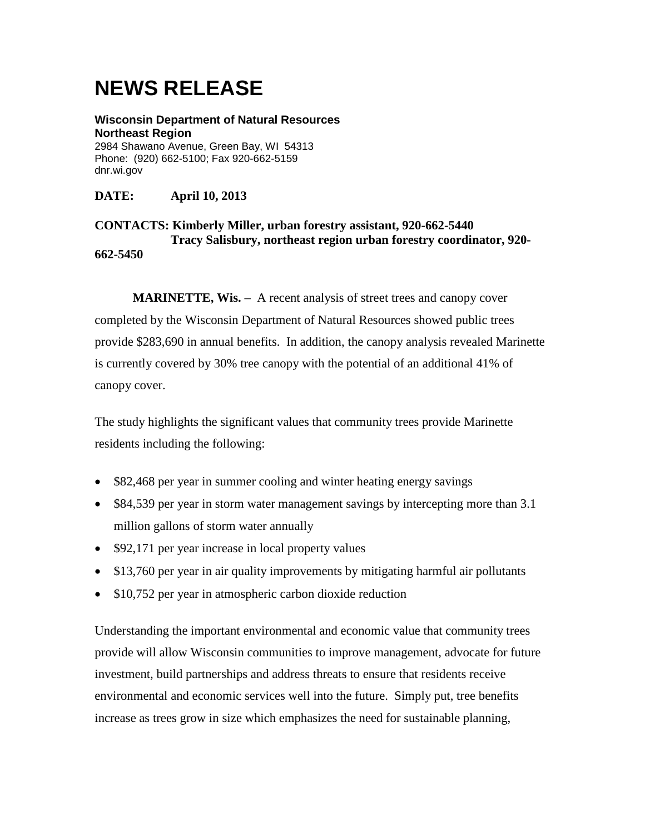**Wisconsin Department of Natural Resources Northeast Region** 2984 Shawano Avenue, Green Bay, WI 54313 Phone: (920) 662-5100; Fax 920-662-5159 dnr.wi.gov

**DATE: April 10, 2013**

**CONTACTS: Kimberly Miller, urban forestry assistant, 920-662-5440 Tracy Salisbury, northeast region urban forestry coordinator, 920- 662-5450**

**MARINETTE, Wis.** - A recent analysis of street trees and canopy cover completed by the Wisconsin Department of Natural Resources showed public trees provide \$283,690 in annual benefits. In addition, the canopy analysis revealed Marinette is currently covered by 30% tree canopy with the potential of an additional 41% of canopy cover.

The study highlights the significant values that community trees provide Marinette residents including the following:

- \$82,468 per year in summer cooling and winter heating energy savings
- \$84,539 per year in storm water management savings by intercepting more than 3.1 million gallons of storm water annually
- \$92,171 per year increase in local property values
- \$13,760 per year in air quality improvements by mitigating harmful air pollutants
- \$10,752 per year in atmospheric carbon dioxide reduction

Understanding the important environmental and economic value that community trees provide will allow Wisconsin communities to improve management, advocate for future investment, build partnerships and address threats to ensure that residents receive environmental and economic services well into the future. Simply put, tree benefits increase as trees grow in size which emphasizes the need for sustainable planning,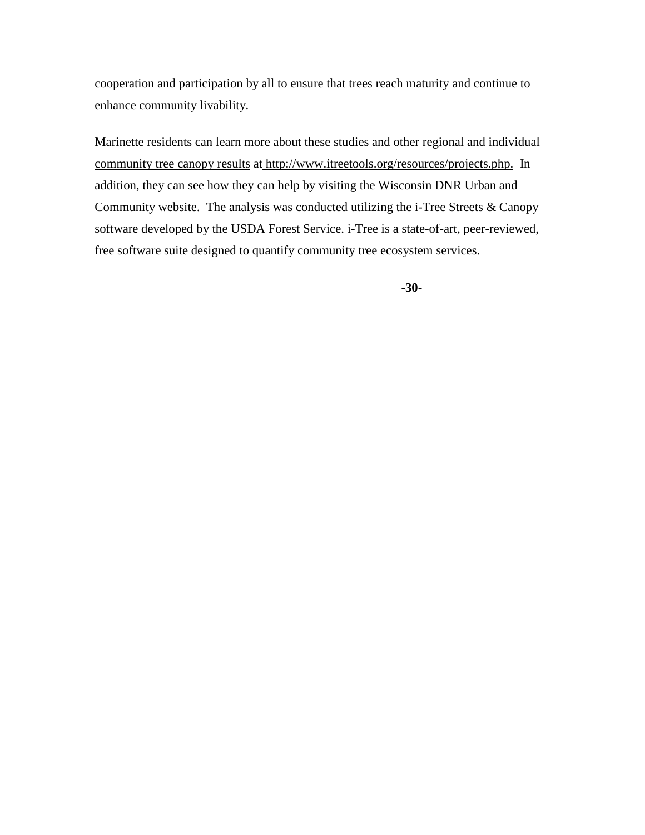Marinette residents can learn more about these studies and other regional and individual [community tree canopy results](http://www.itreetools.org/resources/reports/WDNR_GreenBay_Metro.pdf) at [http://www.itreetools.org/resources/projects.php.](http://www.itreetools.org/resources/projects.php) In addition, they can see how they can help by visiting the Wisconsin DNR Urban and Community [website.](http://dnr.wi.gov/topic/UrbanForests/) The analysis was conducted utilizing the [i-Tree Streets & Canopy](http://www.itreetools.org/) software developed by the USDA Forest Service. i-Tree is a state-of-art, peer-reviewed, free software suite designed to quantify community tree ecosystem services.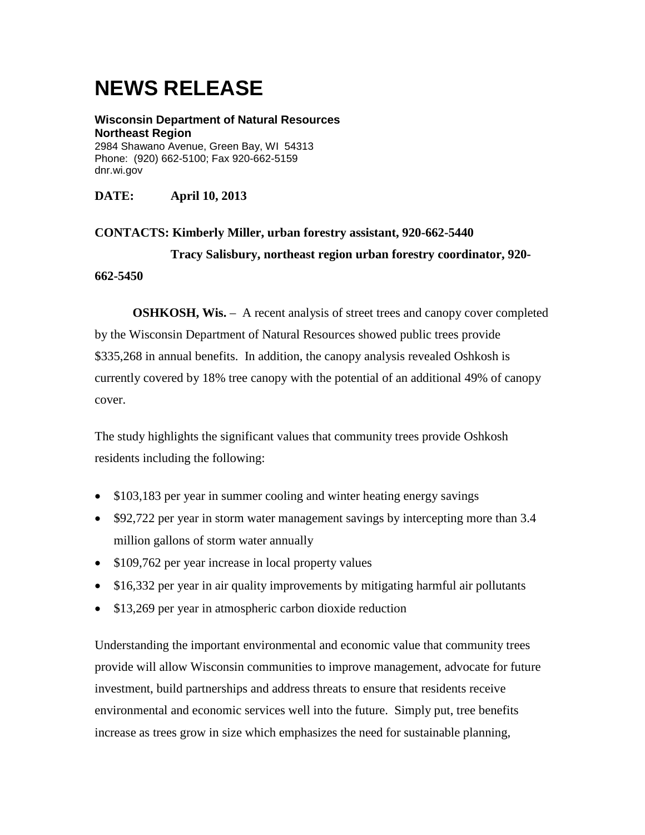**Wisconsin Department of Natural Resources Northeast Region** 2984 Shawano Avenue, Green Bay, WI 54313 Phone: (920) 662-5100; Fax 920-662-5159 dnr.wi.gov

**DATE: April 10, 2013**

**CONTACTS: Kimberly Miller, urban forestry assistant, 920-662-5440 Tracy Salisbury, northeast region urban forestry coordinator, 920- 662-5450**

**OSHKOSH, Wis.** – A recent analysis of street trees and canopy cover completed by the Wisconsin Department of Natural Resources showed public trees provide \$335,268 in annual benefits. In addition, the canopy analysis revealed Oshkosh is currently covered by 18% tree canopy with the potential of an additional 49% of canopy cover.

The study highlights the significant values that community trees provide Oshkosh residents including the following:

- \$103,183 per year in summer cooling and winter heating energy savings
- \$92,722 per year in storm water management savings by intercepting more than 3.4 million gallons of storm water annually
- \$109,762 per year increase in local property values
- \$16,332 per year in air quality improvements by mitigating harmful air pollutants
- \$13,269 per year in atmospheric carbon dioxide reduction

Understanding the important environmental and economic value that community trees provide will allow Wisconsin communities to improve management, advocate for future investment, build partnerships and address threats to ensure that residents receive environmental and economic services well into the future. Simply put, tree benefits increase as trees grow in size which emphasizes the need for sustainable planning,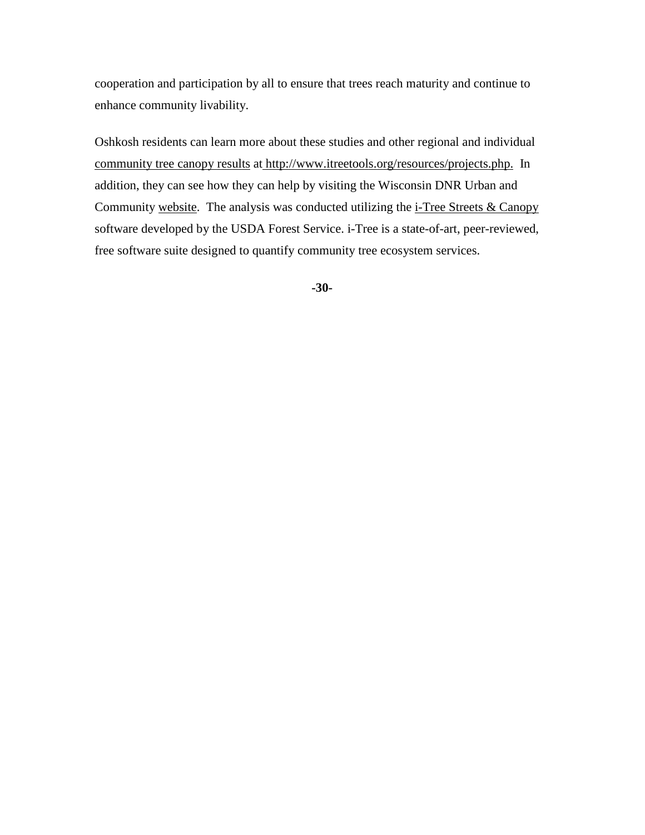Oshkosh residents can learn more about these studies and other regional and individual [community tree canopy results](http://www.itreetools.org/resources/reports/WDNR_GreenBay_Metro.pdf) at [http://www.itreetools.org/resources/projects.php.](http://www.itreetools.org/resources/projects.php) In addition, they can see how they can help by visiting the Wisconsin DNR Urban and Community [website.](http://dnr.wi.gov/topic/UrbanForests/) The analysis was conducted utilizing the  $i$ -Tree Streets & Canopy software developed by the USDA Forest Service. i-Tree is a state-of-art, peer-reviewed, free software suite designed to quantify community tree ecosystem services.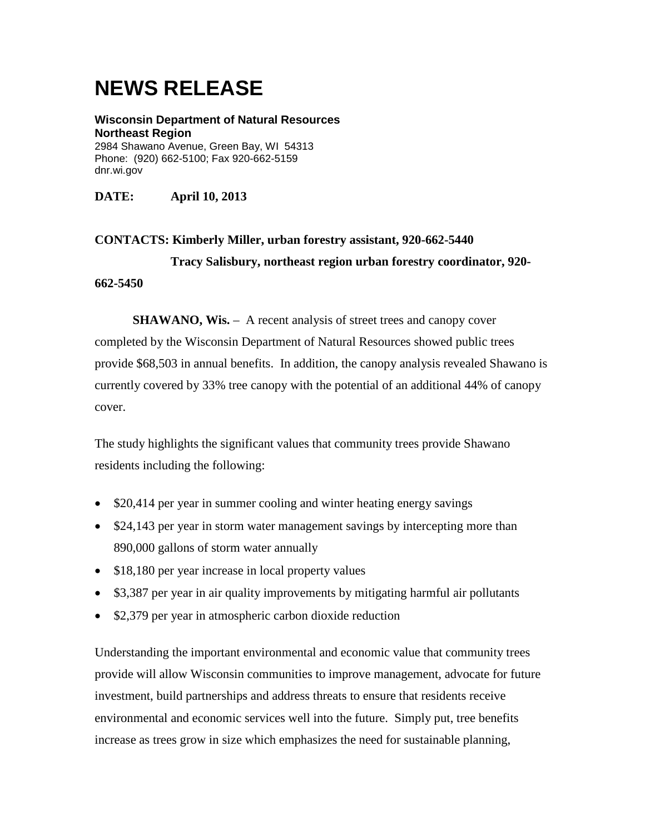**Wisconsin Department of Natural Resources Northeast Region** 2984 Shawano Avenue, Green Bay, WI 54313 Phone: (920) 662-5100; Fax 920-662-5159 dnr.wi.gov

**DATE: April 10, 2013**

**CONTACTS: Kimberly Miller, urban forestry assistant, 920-662-5440 Tracy Salisbury, northeast region urban forestry coordinator, 920- 662-5450**

**SHAWANO, Wis.** – A recent analysis of street trees and canopy cover completed by the Wisconsin Department of Natural Resources showed public trees provide \$68,503 in annual benefits. In addition, the canopy analysis revealed Shawano is currently covered by 33% tree canopy with the potential of an additional 44% of canopy cover.

The study highlights the significant values that community trees provide Shawano residents including the following:

- \$20,414 per year in summer cooling and winter heating energy savings
- \$24,143 per year in storm water management savings by intercepting more than 890,000 gallons of storm water annually
- \$18,180 per year increase in local property values
- \$3,387 per year in air quality improvements by mitigating harmful air pollutants
- \$2,379 per year in atmospheric carbon dioxide reduction

Understanding the important environmental and economic value that community trees provide will allow Wisconsin communities to improve management, advocate for future investment, build partnerships and address threats to ensure that residents receive environmental and economic services well into the future. Simply put, tree benefits increase as trees grow in size which emphasizes the need for sustainable planning,